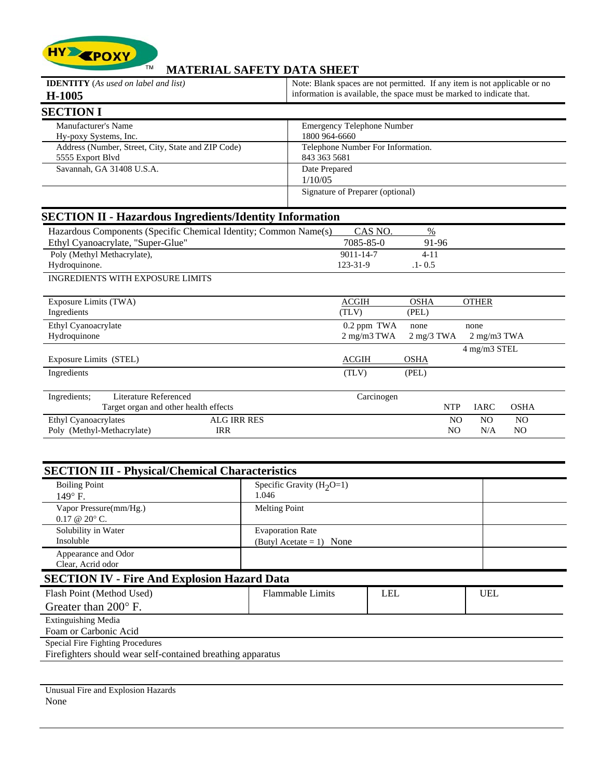

## **MATERIAL SAFETY DATA SHEET**

| <b>IDENTITY</b> (As used on label and list)                      | Note: Blank spaces are not permitted. If any item is not applicable or no            |  |  |  |
|------------------------------------------------------------------|--------------------------------------------------------------------------------------|--|--|--|
| H-1005                                                           | information is available, the space must be marked to indicate that.                 |  |  |  |
| <b>SECTION I</b>                                                 |                                                                                      |  |  |  |
| Manufacturer's Name                                              | <b>Emergency Telephone Number</b>                                                    |  |  |  |
| Hy-poxy Systems, Inc.                                            | 1800 964-6660                                                                        |  |  |  |
| Address (Number, Street, City, State and ZIP Code)               | Telephone Number For Information.                                                    |  |  |  |
| 5555 Export Blvd                                                 | 843 363 5681                                                                         |  |  |  |
| Savannah, GA 31408 U.S.A.                                        | Date Prepared                                                                        |  |  |  |
|                                                                  | 1/10/05                                                                              |  |  |  |
|                                                                  | Signature of Preparer (optional)                                                     |  |  |  |
| <b>SECTION II - Hazardous Ingredients/Identity Information</b>   |                                                                                      |  |  |  |
| Hazardous Components (Specific Chemical Identity; Common Name(s) | CAS NO.<br>$\%$                                                                      |  |  |  |
| Ethyl Cyanoacrylate, "Super-Glue"                                | 7085-85-0<br>91-96                                                                   |  |  |  |
| Poly (Methyl Methacrylate),                                      | $4 - 11$<br>$9011 - 14 - 7$                                                          |  |  |  |
| Hydroquinone.                                                    | 123-31-9<br>$.1 - 0.5$                                                               |  |  |  |
| <b>INGREDIENTS WITH EXPOSURE LIMITS</b>                          |                                                                                      |  |  |  |
| Exposure Limits (TWA)                                            | <b>OSHA</b><br><b>ACGIH</b><br><b>OTHER</b>                                          |  |  |  |
| Ingredients                                                      | (TLV)<br>(PEL)                                                                       |  |  |  |
| Ethyl Cyanoacrylate                                              | 0.2 ppm TWA<br>none<br>none                                                          |  |  |  |
| Hydroquinone                                                     | $2$ mg/m $3$ TWA<br>$2 \text{ mg}/3 \text{ TWA}$<br>$2 \text{ mg/m}$ $3 \text{ TWA}$ |  |  |  |
|                                                                  | 4 mg/m3 STEL                                                                         |  |  |  |
| Exposure Limits (STEL)                                           | <b>ACGIH</b><br><b>OSHA</b>                                                          |  |  |  |
| Ingredients                                                      | (PEL)<br>(TLV)                                                                       |  |  |  |
| Literature Referenced<br>Ingredients;                            | Carcinogen                                                                           |  |  |  |
| Target organ and other health effects                            | <b>NTP</b><br><b>IARC</b><br><b>OSHA</b>                                             |  |  |  |
| <b>ALG IRR RES</b><br>Ethyl Cyanoacrylates                       | N <sub>O</sub><br>N <sub>O</sub><br>N <sub>O</sub>                                   |  |  |  |
| Poly (Methyl-Methacrylate)<br><b>IRR</b>                         | N <sub>O</sub><br>N/A<br>N <sub>O</sub>                                              |  |  |  |

| <b>SECTION III - Physical/Chemical Characteristics</b>      |                            |            |  |  |  |  |  |  |
|-------------------------------------------------------------|----------------------------|------------|--|--|--|--|--|--|
| <b>Boiling Point</b>                                        | Specific Gravity $(H2O=1)$ |            |  |  |  |  |  |  |
| $149^\circ$ F.                                              | 1.046                      |            |  |  |  |  |  |  |
| Vapor Pressure(mm/Hg.)                                      | <b>Melting Point</b>       |            |  |  |  |  |  |  |
| $0.17 \& 20^{\circ}$ C.                                     |                            |            |  |  |  |  |  |  |
| Solubility in Water                                         | <b>Evaporation Rate</b>    |            |  |  |  |  |  |  |
| Insoluble                                                   | (Butyl Acetate = 1) None   |            |  |  |  |  |  |  |
| Appearance and Odor                                         |                            |            |  |  |  |  |  |  |
| Clear, Acrid odor                                           |                            |            |  |  |  |  |  |  |
| <b>SECTION IV - Fire And Explosion Hazard Data</b>          |                            |            |  |  |  |  |  |  |
| Flash Point (Method Used)                                   | <b>Flammable Limits</b>    | <b>UEL</b> |  |  |  |  |  |  |
| Greater than $200^\circ$ F.                                 |                            |            |  |  |  |  |  |  |
| <b>Extinguishing Media</b>                                  |                            |            |  |  |  |  |  |  |
| Foam or Carbonic Acid                                       |                            |            |  |  |  |  |  |  |
| Special Fire Fighting Procedures                            |                            |            |  |  |  |  |  |  |
| Firefighters should wear self-contained breathing apparatus |                            |            |  |  |  |  |  |  |
|                                                             |                            |            |  |  |  |  |  |  |
|                                                             |                            |            |  |  |  |  |  |  |

Unusual Fire and Explosion Hazards None